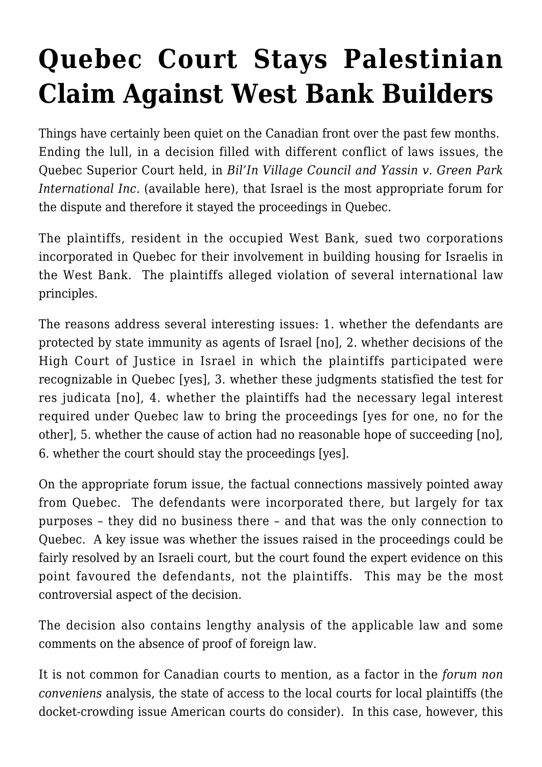## **[Quebec Court Stays Palestinian](https://conflictoflaws.net/2009/quebec-court-stays-palestinian-claim-against-west-bank-builders/) [Claim Against West Bank Builders](https://conflictoflaws.net/2009/quebec-court-stays-palestinian-claim-against-west-bank-builders/)**

Things have certainly been quiet on the Canadian front over the past few months. Ending the lull, in a decision filled with different conflict of laws issues, the Quebec Superior Court held, in *Bil'In Village Council and Yassin v. Green Park International Inc.* (available [here](http://www.canlii.org/en/qc/qccs/doc/2009/2009qccs4151/2009qccs4151.html)), that Israel is the most appropriate forum for the dispute and therefore it stayed the proceedings in Quebec.

The plaintiffs, resident in the occupied West Bank, sued two corporations incorporated in Quebec for their involvement in building housing for Israelis in the West Bank. The plaintiffs alleged violation of several international law principles.

The reasons address several interesting issues: 1. whether the defendants are protected by state immunity as agents of Israel [no], 2. whether decisions of the High Court of Justice in Israel in which the plaintiffs participated were recognizable in Quebec [yes], 3. whether these judgments statisfied the test for res judicata [no], 4. whether the plaintiffs had the necessary legal interest required under Quebec law to bring the proceedings [yes for one, no for the other], 5. whether the cause of action had no reasonable hope of succeeding [no], 6. whether the court should stay the proceedings [yes].

On the appropriate forum issue, the factual connections massively pointed away from Quebec. The defendants were incorporated there, but largely for tax purposes – they did no business there – and that was the only connection to Quebec. A key issue was whether the issues raised in the proceedings could be fairly resolved by an Israeli court, but the court found the expert evidence on this point favoured the defendants, not the plaintiffs. This may be the most controversial aspect of the decision.

The decision also contains lengthy analysis of the applicable law and some comments on the absence of proof of foreign law.

It is not common for Canadian courts to mention, as a factor in the *forum non conveniens* analysis, the state of access to the local courts for local plaintiffs (the docket-crowding issue American courts do consider). In this case, however, this